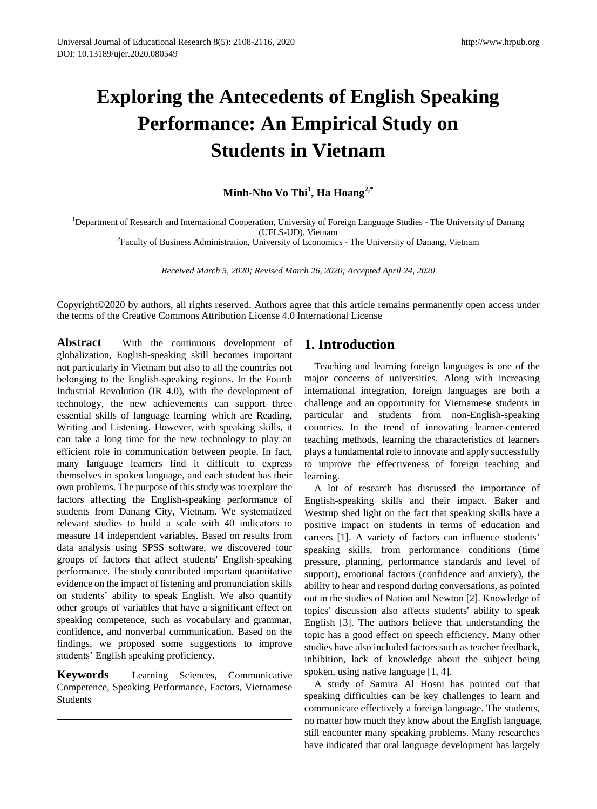# **Exploring the Antecedents of English Speaking Performance: An Empirical Study on Students in Vietnam**

**Minh-Nho Vo Thi<sup>1</sup> , Ha Hoang2,\***

<sup>1</sup>Department of Research and International Cooperation, University of Foreign Language Studies - The University of Danang (UFLS-UD), Vietnam

<sup>2</sup> Faculty of Business Administration, University of Economics - The University of Danang, Vietnam

*Received March 5, 2020; Revised March 26, 2020; Accepted April 24, 2020*

Copyright©2020 by authors, all rights reserved. Authors agree that this article remains permanently open access under the terms of the Creative Commons Attribution License 4.0 International License

**Abstract** With the continuous development of globalization, English-speaking skill becomes important not particularly in Vietnam but also to all the countries not belonging to the English-speaking regions. In the Fourth Industrial Revolution (IR 4.0), with the development of technology, the new achievements can support three essential skills of language learning–which are Reading, Writing and Listening. However, with speaking skills, it can take a long time for the new technology to play an efficient role in communication between people. In fact, many language learners find it difficult to express themselves in spoken language, and each student has their own problems. The purpose of this study was to explore the factors affecting the English-speaking performance of students from Danang City, Vietnam. We systematized relevant studies to build a scale with 40 indicators to measure 14 independent variables. Based on results from data analysis using SPSS software, we discovered four groups of factors that affect students' English-speaking performance. The study contributed important quantitative evidence on the impact of listening and pronunciation skills on students' ability to speak English. We also quantify other groups of variables that have a significant effect on speaking competence, such as vocabulary and grammar, confidence, and nonverbal communication. Based on the findings, we proposed some suggestions to improve students' English speaking proficiency.

**Keywords** Learning Sciences, Communicative Competence, Speaking Performance, Factors, Vietnamese Students

# **1. Introduction**

Teaching and learning foreign languages is one of the major concerns of universities. Along with increasing international integration, foreign languages are both a challenge and an opportunity for Vietnamese students in particular and students from non-English-speaking countries. In the trend of innovating learner-centered teaching methods, learning the characteristics of learners plays a fundamental role to innovate and apply successfully to improve the effectiveness of foreign teaching and learning.

A lot of research has discussed the importance of English-speaking skills and their impact. Baker and Westrup shed light on the fact that speaking skills have a positive impact on students in terms of education and careers [1]. A variety of factors can influence students' speaking skills, from performance conditions (time pressure, planning, performance standards and level of support), emotional factors (confidence and anxiety), the ability to hear and respond during conversations, as pointed out in the studies of Nation and Newton [2]. Knowledge of topics' discussion also affects students' ability to speak English [3]. The authors believe that understanding the topic has a good effect on speech efficiency. Many other studies have also included factors such as teacher feedback, inhibition, lack of knowledge about the subject being spoken, using native language [1, 4].

A study of Samira Al Hosni has pointed out that speaking difficulties can be key challenges to learn and communicate effectively a foreign language. The students, no matter how much they know about the English language, still encounter many speaking problems. Many researches have indicated that oral language development has largely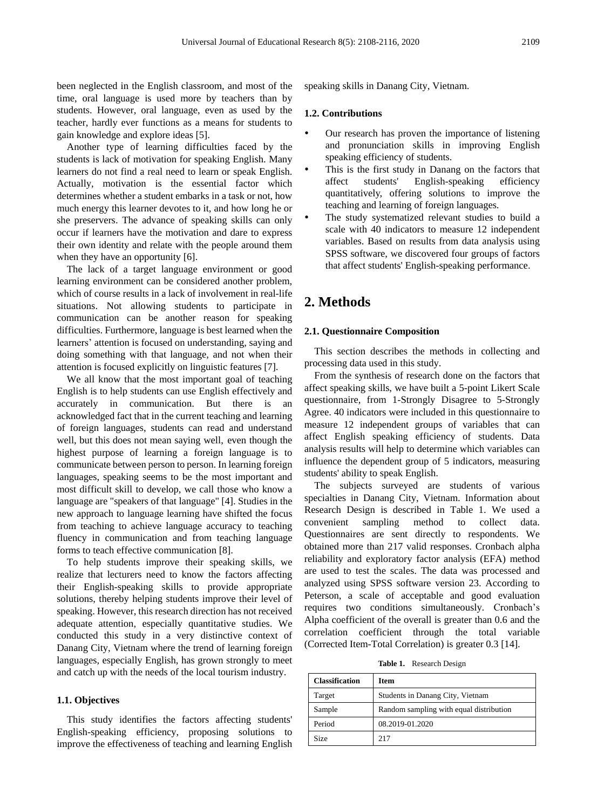been neglected in the English classroom, and most of the time, oral language is used more by teachers than by students. However, oral language, even as used by the teacher, hardly ever functions as a means for students to gain knowledge and explore ideas [5].

Another type of learning difficulties faced by the students is lack of motivation for speaking English. Many learners do not find a real need to learn or speak English. Actually, motivation is the essential factor which determines whether a student embarks in a task or not, how much energy this learner devotes to it, and how long he or she preservers. The advance of speaking skills can only occur if learners have the motivation and dare to express their own identity and relate with the people around them when they have an opportunity [6].

The lack of a target language environment or good learning environment can be considered another problem, which of course results in a lack of involvement in real-life situations. Not allowing students to participate in communication can be another reason for speaking difficulties. Furthermore, language is best learned when the learners' attention is focused on understanding, saying and doing something with that language, and not when their attention is focused explicitly on linguistic features [7].

We all know that the most important goal of teaching English is to help students can use English effectively and accurately in communication. But there is an acknowledged fact that in the current teaching and learning of foreign languages, students can read and understand well, but this does not mean saying well, even though the highest purpose of learning a foreign language is to communicate between person to person. In learning foreign languages, speaking seems to be the most important and most difficult skill to develop, we call those who know a language are "speakers of that language" [4]. Studies in the new approach to language learning have shifted the focus from teaching to achieve language accuracy to teaching fluency in communication and from teaching language forms to teach effective communication [8].

To help students improve their speaking skills, we realize that lecturers need to know the factors affecting their English-speaking skills to provide appropriate solutions, thereby helping students improve their level of speaking. However, this research direction has not received adequate attention, especially quantitative studies. We conducted this study in a very distinctive context of Danang City, Vietnam where the trend of learning foreign languages, especially English, has grown strongly to meet and catch up with the needs of the local tourism industry.

#### **1.1. Objectives**

This study identifies the factors affecting students' English-speaking efficiency, proposing solutions to improve the effectiveness of teaching and learning English speaking skills in Danang City, Vietnam.

#### **1.2. Contributions**

- Our research has proven the importance of listening and pronunciation skills in improving English speaking efficiency of students.
- This is the first study in Danang on the factors that affect students' English-speaking efficiency quantitatively, offering solutions to improve the teaching and learning of foreign languages.
- The study systematized relevant studies to build a scale with 40 indicators to measure 12 independent variables. Based on results from data analysis using SPSS software, we discovered four groups of factors that affect students' English-speaking performance.

## **2. Methods**

#### **2.1. Questionnaire Composition**

This section describes the methods in collecting and processing data used in this study.

From the synthesis of research done on the factors that affect speaking skills, we have built a 5-point Likert Scale questionnaire, from 1-Strongly Disagree to 5-Strongly Agree. 40 indicators were included in this questionnaire to measure 12 independent groups of variables that can affect English speaking efficiency of students. Data analysis results will help to determine which variables can influence the dependent group of 5 indicators, measuring students' ability to speak English.

The subjects surveyed are students of various specialties in Danang City, Vietnam. Information about Research Design is described in Table 1. We used a convenient sampling method to collect data. Questionnaires are sent directly to respondents. We obtained more than 217 valid responses. Cronbach alpha reliability and exploratory factor analysis (EFA) method are used to test the scales. The data was processed and analyzed using SPSS software version 23. According to Peterson, a scale of acceptable and good evaluation requires two conditions simultaneously. Cronbach's Alpha coefficient of the overall is greater than 0.6 and the correlation coefficient through the total variable (Corrected Item-Total Correlation) is greater 0.3 [14].

**Table 1.** Research Design

| <b>Classification</b> | <b>Item</b>                             |
|-----------------------|-----------------------------------------|
| Target                | Students in Danang City, Vietnam        |
| Sample                | Random sampling with equal distribution |
| Period                | 08.2019-01.2020                         |
| Size                  | 217                                     |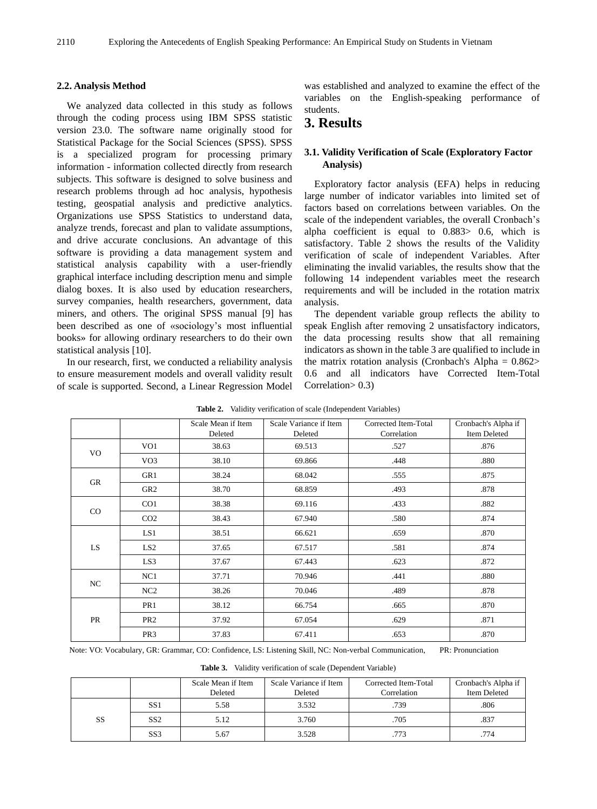#### **2.2. Analysis Method**

We analyzed data collected in this study as follows through the coding process using IBM SPSS statistic version 23.0. The software name originally stood for Statistical Package for the Social Sciences (SPSS). SPSS is a specialized program for processing primary information - information collected directly from research subjects. This software is designed to solve business and research problems through ad hoc analysis, hypothesis testing, geospatial analysis and predictive analytics. Organizations use SPSS Statistics to understand data, analyze trends, forecast and plan to validate assumptions, and drive accurate conclusions. An advantage of this software is providing a data management system and statistical analysis capability with a user-friendly graphical interface including description menu and simple dialog boxes. It is also used by education researchers, survey companies, health researchers, government, data miners, and others. The original SPSS manual [9] has been described as one of «sociology's most influential books » for allowing ordinary researchers to do their own statistical analysis [10].

In our research, first, we conducted a reliability analysis to ensure measurement models and overall validity result of scale is supported. Second, a Linear Regression Model was established and analyzed to examine the effect of the variables on the English-speaking performance of students.

# **3. Results**

#### **3.1. Validity Verification of Scale (Exploratory Factor Analysis)**

Exploratory factor analysis (EFA) helps in reducing large number of indicator variables into limited set of factors based on correlations between variables. On the scale of the independent variables, the overall Cronbach's alpha coefficient is equal to 0.883> 0.6, which is satisfactory. Table 2 shows the results of the Validity verification of scale of independent Variables. After eliminating the invalid variables, the results show that the following 14 independent variables meet the research requirements and will be included in the rotation matrix analysis.

The dependent variable group reflects the ability to speak English after removing 2 unsatisfactory indicators, the data processing results show that all remaining indicators as shown in the table 3 are qualified to include in the matrix rotation analysis (Cronbach's Alpha  $= 0.862$ ) 0.6 and all indicators have Corrected Item-Total Correlation> 0.3)

|             |                 | Scale Mean if Item | Scale Variance if Item | Corrected Item-Total | Cronbach's Alpha if |
|-------------|-----------------|--------------------|------------------------|----------------------|---------------------|
|             |                 | Deleted            | Deleted                | Correlation          | <b>Item Deleted</b> |
| VO          | VO <sub>1</sub> | 38.63              | 69.513                 | .527                 | .876                |
|             | VO <sub>3</sub> | 38.10              | 69.866                 | .448                 | .880                |
| GR          | GR1             | 38.24              | 68.042                 | .555                 | .875                |
|             | GR <sub>2</sub> | 38.70              | 68.859                 | .493                 | .878                |
| $_{\rm CO}$ | CO <sub>1</sub> | 38.38              | 69.116                 | .433                 | .882                |
|             | CO <sub>2</sub> | 38.43              | 67.940                 | .580                 | .874                |
|             | LS1             | 38.51              | 66.621                 | .659                 | .870                |
| LS.         | LS <sub>2</sub> | 37.65              | 67.517                 | .581                 | .874                |
|             | LS3             | 37.67              | 67.443                 | .623                 | .872                |
|             | NC1             | 37.71              | 70.946                 | .441                 | .880                |
| NC          | NC2             | 38.26              | 70.046                 | .489                 | .878                |
| PR          | PR1             | 38.12              | 66.754                 | .665                 | .870                |
|             | PR <sub>2</sub> | 37.92              | 67.054                 | .629                 | .871                |
|             | PR <sub>3</sub> | 37.83              | 67.411                 | .653                 | .870                |

**Table 2.** Validity verification of scale (Independent Variables)

Note: VO: Vocabulary, GR: Grammar, CO: Confidence, LS: Listening Skill, NC: Non-verbal Communication, PR: Pronunciation

**Table 3.** Validity verification of scale (Dependent Variable)

|           |                 | Scale Mean if Item | Scale Variance if Item | Corrected Item-Total | Cronbach's Alpha if |
|-----------|-----------------|--------------------|------------------------|----------------------|---------------------|
|           |                 | Deleted            | Deleted                | Correlation          | <b>Item Deleted</b> |
| <b>SS</b> | SS1             | 5.58               | 3.532                  | .739                 | .806                |
|           | SS <sub>2</sub> | 5.12               | 3.760                  | .705                 | .837                |
|           | SS <sub>3</sub> | 5.67               | 3.528                  | .773                 | .774                |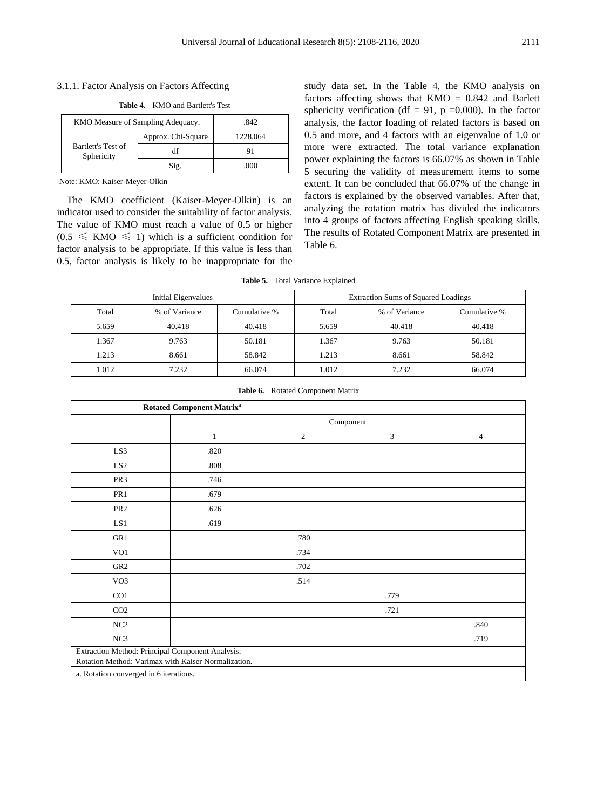#### 3.1.1. Factor Analysis on Factors Affecting

**Table 4.** KMO and Bartlett's Test

| KMO Measure of Sampling Adequacy. | .842               |          |
|-----------------------------------|--------------------|----------|
| Bartlett's Test of<br>Sphericity  | Approx. Chi-Square | 1228.064 |
|                                   |                    | 91       |
|                                   | Sig.               | .000     |

Note: KMO: Kaiser-Meyer-Olkin

The KMO coefficient (Kaiser-Meyer-Olkin) is an indicator used to consider the suitability of factor analysis. The value of KMO must reach a value of 0.5 or higher  $(0.5 \le KMO \le 1)$  which is a sufficient condition for factor analysis to be appropriate. If this value is less than 0.5, factor analysis is likely to be inappropriate for the

study data set. In the Table 4, the KMO analysis on factors affecting shows that  $KMO = 0.842$  and Barlett sphericity verification (df = 91, p = 0.000). In the factor analysis, the factor loading of related factors is based on 0.5 and more, and 4 factors with an eigenvalue of 1.0 or more were extracted. The total variance explanation power explaining the factors is 66.07% as shown in Table 5 securing the validity of measurement items to some extent. It can be concluded that 66.07% of the change in factors is explained by the observed variables. After that, analyzing the rotation matrix has divided the indicators into 4 groups of factors affecting English speaking skills. The results of Rotated Component Matrix are presented in Table 6.

| Table 5. |  |  | Total Variance Explained |
|----------|--|--|--------------------------|
|----------|--|--|--------------------------|

| Initial Eigenvalues                    |        |        |               | <b>Extraction Sums of Squared Loadings</b> |        |
|----------------------------------------|--------|--------|---------------|--------------------------------------------|--------|
| % of Variance<br>Cumulative %<br>Total |        | Total  | % of Variance | Cumulative %                               |        |
| 5.659                                  | 40.418 | 40.418 | 5.659         | 40.418                                     | 40.418 |
| 1.367                                  | 9.763  | 50.181 | 1.367         | 9.763                                      | 50.181 |
| 1.213                                  | 8.661  | 58.842 | 1.213         | 8.661                                      | 58.842 |
| 1.012                                  | 7.232  | 66.074 | 1.012         | 7.232                                      | 66.074 |

| Table 6. |  | Rotated Component Matrix |  |
|----------|--|--------------------------|--|
|----------|--|--------------------------|--|

| <b>Rotated Component Matrix<sup>a</sup></b> |                                                                                                         |                |                |                |  |  |  |
|---------------------------------------------|---------------------------------------------------------------------------------------------------------|----------------|----------------|----------------|--|--|--|
|                                             | Component                                                                                               |                |                |                |  |  |  |
|                                             | 1                                                                                                       | $\overline{c}$ | $\mathfrak{Z}$ | $\overline{4}$ |  |  |  |
| LS3                                         | .820                                                                                                    |                |                |                |  |  |  |
| LS <sub>2</sub>                             | .808                                                                                                    |                |                |                |  |  |  |
| PR <sub>3</sub>                             | .746                                                                                                    |                |                |                |  |  |  |
| PR1                                         | .679                                                                                                    |                |                |                |  |  |  |
| PR <sub>2</sub>                             | .626                                                                                                    |                |                |                |  |  |  |
| LS1                                         | .619                                                                                                    |                |                |                |  |  |  |
| GR1                                         |                                                                                                         | .780           |                |                |  |  |  |
| VO1                                         |                                                                                                         | .734           |                |                |  |  |  |
| GR <sub>2</sub>                             |                                                                                                         | .702           |                |                |  |  |  |
| VO <sub>3</sub>                             |                                                                                                         | .514           |                |                |  |  |  |
| CO <sub>1</sub>                             |                                                                                                         |                | .779           |                |  |  |  |
| CO <sub>2</sub>                             |                                                                                                         |                | .721           |                |  |  |  |
| NC2                                         |                                                                                                         |                |                | .840           |  |  |  |
| NC3                                         |                                                                                                         |                |                | .719           |  |  |  |
|                                             | Extraction Method: Principal Component Analysis.<br>Rotation Method: Varimax with Kaiser Normalization. |                |                |                |  |  |  |
| a. Rotation converged in 6 iterations.      |                                                                                                         |                |                |                |  |  |  |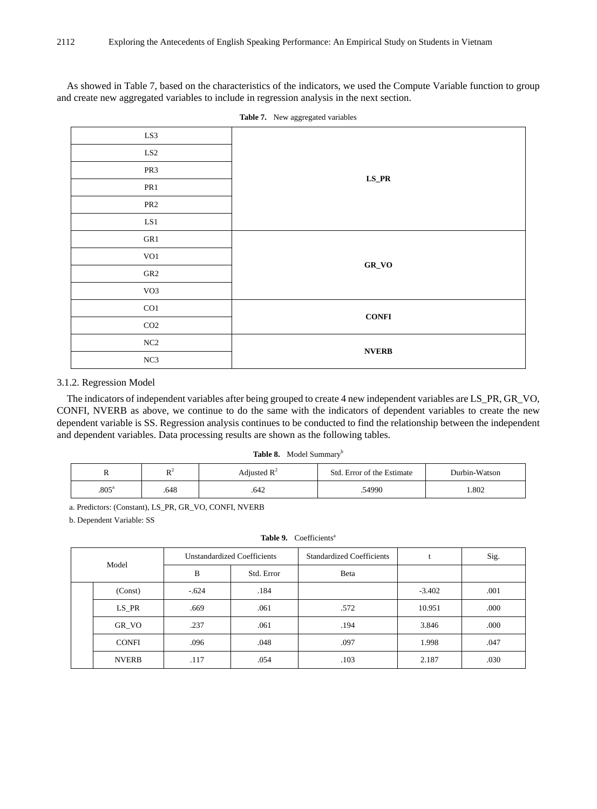As showed in Table 7, based on the characteristics of the indicators, we used the Compute Variable function to group and create new aggregated variables to include in regression analysis in the next section.

| LS3                  |                                       |  |  |  |  |
|----------------------|---------------------------------------|--|--|--|--|
| $\operatorname{LS2}$ |                                       |  |  |  |  |
| PR3                  | $\mathbf{L}\mathbf{S}\_{\mathbf{PR}}$ |  |  |  |  |
| PR1                  |                                       |  |  |  |  |
| PR <sub>2</sub>      |                                       |  |  |  |  |
| $\operatorname{LS1}$ |                                       |  |  |  |  |
| ${\sf GR1}$          |                                       |  |  |  |  |
| $\rm VO1$            | $GR_VO$                               |  |  |  |  |
| ${\tt GR2}$          |                                       |  |  |  |  |
| VO3                  |                                       |  |  |  |  |
| CO1                  | CONFI                                 |  |  |  |  |
| CO <sub>2</sub>      |                                       |  |  |  |  |
| $\rm NC2$            | $\ensuremath{\text{NVERB}}$           |  |  |  |  |
| $\rm NC3$            |                                       |  |  |  |  |

**Table 7.** New aggregated variables

#### 3.1.2. Regression Model

The indicators of independent variables after being grouped to create 4 new independent variables are LS\_PR, GR\_VO, CONFI, NVERB as above, we continue to do the same with the indicators of dependent variables to create the new dependent variable is SS. Regression analysis continues to be conducted to find the relationship between the independent and dependent variables. Data processing results are shown as the following tables.

Table 8. Model Summary<sup>b</sup>

| $\ddot{\phantom{0}}$ | D <sup>2</sup><br>$\mathbf{v}$ | Adjusted $\mathbb{R}^2$ | Std. Error of the Estimate | Durbin-Watson |
|----------------------|--------------------------------|-------------------------|----------------------------|---------------|
| .805 <sup>a</sup>    | .648                           | .642                    | .54990                     | 1.802         |

a. Predictors: (Constant), LS\_PR, GR\_VO, CONFI, NVERB

b. Dependent Variable: SS

| Table 9. | Coefficients <sup>a</sup> |
|----------|---------------------------|
|----------|---------------------------|

| Model |              | Unstandardized Coefficients |            | <b>Standardized Coefficients</b> |          | Sig. |
|-------|--------------|-----------------------------|------------|----------------------------------|----------|------|
|       |              | B                           | Std. Error | Beta                             |          |      |
|       | (Const)      | $-.624$                     | .184       |                                  | $-3.402$ | .001 |
|       | $LS$ PR      | .669                        | .061       | .572                             | 10.951   | .000 |
|       | GR VO        | .237                        | .061       | .194                             | 3.846    | .000 |
|       | <b>CONFI</b> | .096                        | .048       | .097                             | 1.998    | .047 |
|       | <b>NVERB</b> | .117                        | .054       | .103                             | 2.187    | .030 |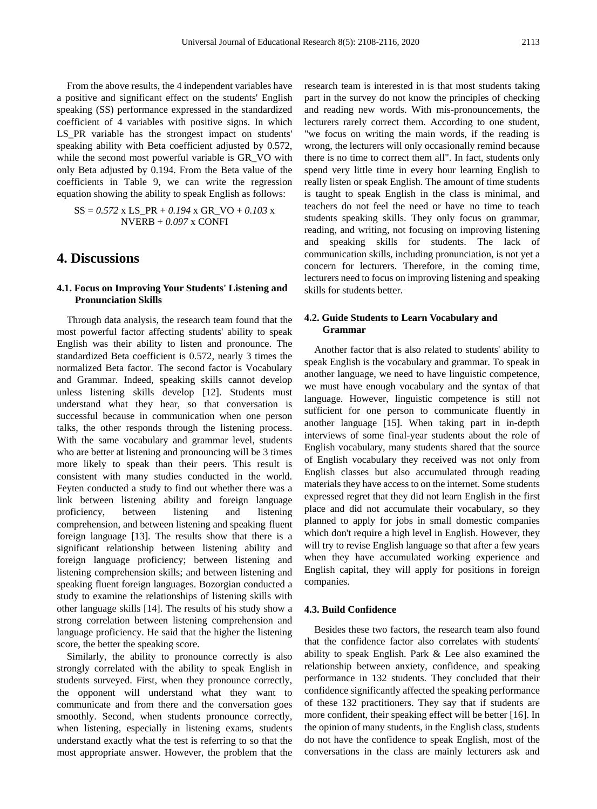From the above results, the 4 independent variables have a positive and significant effect on the students' English speaking (SS) performance expressed in the standardized coefficient of 4 variables with positive signs. In which LS\_PR variable has the strongest impact on students' speaking ability with Beta coefficient adjusted by 0.572, while the second most powerful variable is GR\_VO with only Beta adjusted by 0.194. From the Beta value of the coefficients in Table 9, we can write the regression equation showing the ability to speak English as follows:

 $SS = 0.572$  x LS\_PR +  $0.194$  x GR\_VO +  $0.103$  x NVERB + *0.097* x CONFI

### **4. Discussions**

#### **4.1. Focus on Improving Your Students' Listening and Pronunciation Skills**

Through data analysis, the research team found that the most powerful factor affecting students' ability to speak English was their ability to listen and pronounce. The standardized Beta coefficient is 0.572, nearly 3 times the normalized Beta factor. The second factor is Vocabulary and Grammar. Indeed, speaking skills cannot develop unless listening skills develop [12]. Students must understand what they hear, so that conversation is successful because in communication when one person talks, the other responds through the listening process. With the same vocabulary and grammar level, students who are better at listening and pronouncing will be 3 times more likely to speak than their peers. This result is consistent with many studies conducted in the world. Feyten conducted a study to find out whether there was a link between listening ability and foreign language proficiency, between listening and listening comprehension, and between listening and speaking fluent foreign language [13]. The results show that there is a significant relationship between listening ability and foreign language proficiency; between listening and listening comprehension skills; and between listening and speaking fluent foreign languages. Bozorgian conducted a study to examine the relationships of listening skills with other language skills [14]. The results of his study show a strong correlation between listening comprehension and language proficiency. He said that the higher the listening score, the better the speaking score.

Similarly, the ability to pronounce correctly is also strongly correlated with the ability to speak English in students surveyed. First, when they pronounce correctly, the opponent will understand what they want to communicate and from there and the conversation goes smoothly. Second, when students pronounce correctly, when listening, especially in listening exams, students understand exactly what the test is referring to so that the most appropriate answer. However, the problem that the

research team is interested in is that most students taking part in the survey do not know the principles of checking and reading new words. With mis-pronouncements, the lecturers rarely correct them. According to one student, "we focus on writing the main words, if the reading is wrong, the lecturers will only occasionally remind because there is no time to correct them all". In fact, students only spend very little time in every hour learning English to really listen or speak English. The amount of time students is taught to speak English in the class is minimal, and teachers do not feel the need or have no time to teach students speaking skills. They only focus on grammar, reading, and writing, not focusing on improving listening and speaking skills for students. The lack of communication skills, including pronunciation, is not yet a concern for lecturers. Therefore, in the coming time, lecturers need to focus on improving listening and speaking skills for students better.

#### **4.2. Guide Students to Learn Vocabulary and Grammar**

Another factor that is also related to students' ability to speak English is the vocabulary and grammar. To speak in another language, we need to have linguistic competence, we must have enough vocabulary and the syntax of that language. However, linguistic competence is still not sufficient for one person to communicate fluently in another language [15]. When taking part in in-depth interviews of some final-year students about the role of English vocabulary, many students shared that the source of English vocabulary they received was not only from English classes but also accumulated through reading materials they have access to on the internet. Some students expressed regret that they did not learn English in the first place and did not accumulate their vocabulary, so they planned to apply for jobs in small domestic companies which don't require a high level in English. However, they will try to revise English language so that after a few years when they have accumulated working experience and English capital, they will apply for positions in foreign companies.

#### **4.3. Build Confidence**

Besides these two factors, the research team also found that the confidence factor also correlates with students' ability to speak English. Park & Lee also examined the relationship between anxiety, confidence, and speaking performance in 132 students. They concluded that their confidence significantly affected the speaking performance of these 132 practitioners. They say that if students are more confident, their speaking effect will be better [16]. In the opinion of many students, in the English class, students do not have the confidence to speak English, most of the conversations in the class are mainly lecturers ask and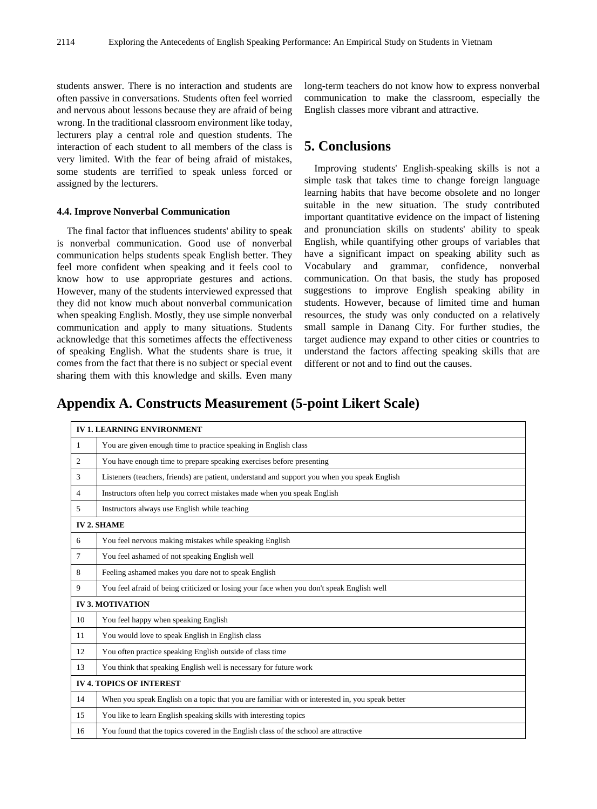students answer. There is no interaction and students are often passive in conversations. Students often feel worried and nervous about lessons because they are afraid of being wrong. In the traditional classroom environment like today, lecturers play a central role and question students. The interaction of each student to all members of the class is very limited. With the fear of being afraid of mistakes, some students are terrified to speak unless forced or assigned by the lecturers.

#### **4.4. Improve Nonverbal Communication**

The final factor that influences students' ability to speak is nonverbal communication. Good use of nonverbal communication helps students speak English better. They feel more confident when speaking and it feels cool to know how to use appropriate gestures and actions. However, many of the students interviewed expressed that they did not know much about nonverbal communication when speaking English. Mostly, they use simple nonverbal communication and apply to many situations. Students acknowledge that this sometimes affects the effectiveness of speaking English. What the students share is true, it comes from the fact that there is no subject or special event sharing them with this knowledge and skills. Even many

long-term teachers do not know how to express nonverbal communication to make the classroom, especially the English classes more vibrant and attractive.

## **5. Conclusions**

Improving students' English-speaking skills is not a simple task that takes time to change foreign language learning habits that have become obsolete and no longer suitable in the new situation. The study contributed important quantitative evidence on the impact of listening and pronunciation skills on students' ability to speak English, while quantifying other groups of variables that have a significant impact on speaking ability such as Vocabulary and grammar, confidence, nonverbal communication. On that basis, the study has proposed suggestions to improve English speaking ability in students. However, because of limited time and human resources, the study was only conducted on a relatively small sample in Danang City. For further studies, the target audience may expand to other cities or countries to understand the factors affecting speaking skills that are different or not and to find out the causes.

## **Appendix A. Constructs Measurement (5-point Likert Scale)**

| <b>IV 1. LEARNING ENVIRONMENT</b> |                                                                                                 |  |
|-----------------------------------|-------------------------------------------------------------------------------------------------|--|
| 1                                 | You are given enough time to practice speaking in English class                                 |  |
| $\mathfrak{2}$                    | You have enough time to prepare speaking exercises before presenting                            |  |
| 3                                 | Listeners (teachers, friends) are patient, understand and support you when you speak English    |  |
| $\overline{4}$                    | Instructors often help you correct mistakes made when you speak English                         |  |
| 5                                 | Instructors always use English while teaching                                                   |  |
| <b>IV2. SHAME</b>                 |                                                                                                 |  |
| 6                                 | You feel nervous making mistakes while speaking English                                         |  |
| 7                                 | You feel ashamed of not speaking English well                                                   |  |
| 8                                 | Feeling ashamed makes you dare not to speak English                                             |  |
| 9                                 | You feel afraid of being criticized or losing your face when you don't speak English well       |  |
| <b>IV 3. MOTIVATION</b>           |                                                                                                 |  |
| 10                                | You feel happy when speaking English                                                            |  |
| 11                                | You would love to speak English in English class                                                |  |
| 12                                | You often practice speaking English outside of class time                                       |  |
| 13                                | You think that speaking English well is necessary for future work                               |  |
| <b>IV 4. TOPICS OF INTEREST</b>   |                                                                                                 |  |
| 14                                | When you speak English on a topic that you are familiar with or interested in, you speak better |  |
| 15                                | You like to learn English speaking skills with interesting topics                               |  |
| 16                                | You found that the topics covered in the English class of the school are attractive             |  |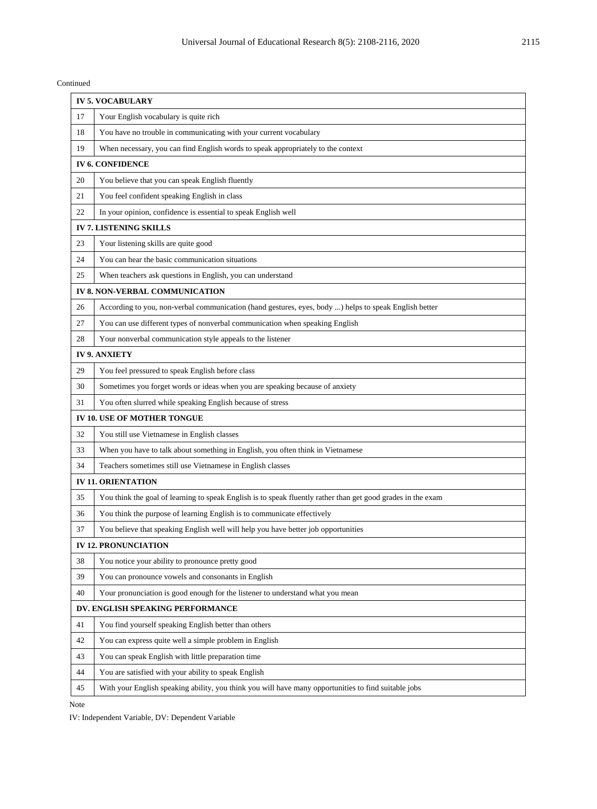Continued

| <b>IV 5. VOCABULARY</b>          |                                                                                                              |  |
|----------------------------------|--------------------------------------------------------------------------------------------------------------|--|
| 17                               | Your English vocabulary is quite rich                                                                        |  |
| 18                               | You have no trouble in communicating with your current vocabulary                                            |  |
| 19                               | When necessary, you can find English words to speak appropriately to the context                             |  |
| <b>IV 6. CONFIDENCE</b>          |                                                                                                              |  |
| 20                               | You believe that you can speak English fluently                                                              |  |
| 21                               | You feel confident speaking English in class                                                                 |  |
| 22                               | In your opinion, confidence is essential to speak English well                                               |  |
| <b>IV 7. LISTENING SKILLS</b>    |                                                                                                              |  |
| 23                               | Your listening skills are quite good                                                                         |  |
| 24                               | You can hear the basic communication situations                                                              |  |
| 25                               | When teachers ask questions in English, you can understand                                                   |  |
| IV 8. NON-VERBAL COMMUNICATION   |                                                                                                              |  |
| 26                               | According to you, non-verbal communication (hand gestures, eyes, body ) helps to speak English better        |  |
| 27                               | You can use different types of nonverbal communication when speaking English                                 |  |
| 28                               | Your nonverbal communication style appeals to the listener                                                   |  |
| <b>IV 9. ANXIETY</b>             |                                                                                                              |  |
| 29                               | You feel pressured to speak English before class                                                             |  |
| 30                               | Sometimes you forget words or ideas when you are speaking because of anxiety                                 |  |
| 31                               | You often slurred while speaking English because of stress                                                   |  |
| IV 10. USE OF MOTHER TONGUE      |                                                                                                              |  |
| 32                               | You still use Vietnamese in English classes                                                                  |  |
| 33                               | When you have to talk about something in English, you often think in Vietnamese                              |  |
| 34                               | Teachers sometimes still use Vietnamese in English classes                                                   |  |
| <b>IV 11. ORIENTATION</b>        |                                                                                                              |  |
| 35                               | You think the goal of learning to speak English is to speak fluently rather than get good grades in the exam |  |
| 36                               | You think the purpose of learning English is to communicate effectively                                      |  |
| 37                               | You believe that speaking English well will help you have better job opportunities                           |  |
| <b>IV 12. PRONUNCIATION</b>      |                                                                                                              |  |
| 38                               | You notice your ability to pronounce pretty good                                                             |  |
| 39                               | You can pronounce vowels and consonants in English                                                           |  |
| 40                               | Your pronunciation is good enough for the listener to understand what you mean                               |  |
| DV. ENGLISH SPEAKING PERFORMANCE |                                                                                                              |  |
| 41                               | You find yourself speaking English better than others                                                        |  |
| 42                               | You can express quite well a simple problem in English                                                       |  |
| 43                               | You can speak English with little preparation time                                                           |  |
| 44                               | You are satisfied with your ability to speak English                                                         |  |
| 45                               | With your English speaking ability, you think you will have many opportunities to find suitable jobs         |  |

Note

IV: Independent Variable, DV: Dependent Variable